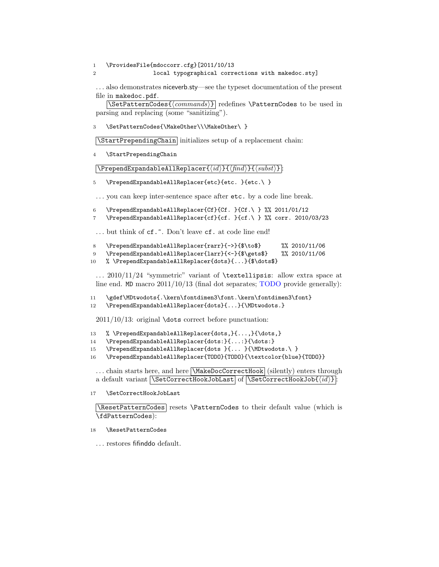1 \ProvidesFile{mdoccorr.cfg}[2011/10/13 2 local typographical corrections with makedoc.sty]

... also demonstrates niceverb.sty—see the typeset documentation of the present file in makedoc.pdf.

 $\setminus \text{SetPatternCodes} \{ \mid \}$  redefines  $\text{PatternCodes}$  to be used in parsing and replacing (some "sanitizing").

3 \SetPatternCodes{\MakeOther\\\MakeOther\ }

\StartPrependingChain initializes setup of a replacement chain:

4 \StartPrependingChain

 $\Delta$ PrependExpandableAllReplacer{ $\langle id \rangle$ }{ $\langle find \rangle$ }{ $\langle subst \rangle$ }:

5 \PrependExpandableAllReplacer{etc}{etc. }{etc.\ }

... you can keep inter-sentence space after etc. by a code line break.

- 6 \PrependExpandableAllReplacer{Cf}{Cf. }{Cf.\ } %% 2011/01/12
- 7 \PrependExpandableAllReplacer{cf}{cf. }{cf.\ } %% corr. 2010/03/23

... but think of cf.<sup> $\tilde{\cdot}$ </sup>. Don't leave cf. at code line end!

- 8 \PrependExpandableAllReplacer{rarr}{->}{\$\to\$} %% 2010/11/06
- 9 \PrependExpandableAllReplacer{larr}{<-}{\$\gets\$} %% 2010/11/06
- 10 % \PrependExpandableAllReplacer{dots}{...}{\$\dots\$}

 $\ldots$  2010/11/24 "symmetric" variant of **\textellipsis**: allow extra space at line end. MD macro 2011/10/13 (final dot separates; TODO provide generally):

11 \gdef\MDtwodots{.\kern\fontdimen3\font.\kern\fontdimen3\font}

12 \PrependExpandableAllReplacer{dots}{...}{\MDtwodots.}

2011/10/13: original \dots correct before punctuation:

- 13 % \PrependExpandableAllReplacer{dots,}{...,}{\dots,}
- 14 \PrependExpandableAllReplacer{dots:}{...:}{\dots:}
- 15 \PrependExpandableAllReplacer{dots }{... }{\MDtwodots.\ }
- 16 \PrependExpandableAllReplacer{TODO}{TODO}{\textcolor{blue}{TODO}}

... chain starts here, and here **\MakeDocCorrectHook** (silently) enters through a default variant  $\SetCorrectHookJobLast$  of  $\SetCorrectHookJob{id}$  :

17 \SetCorrectHookJobLast

\ResetPatternCodes| resets \PatternCodes to their default value (which is \fdPatternCodes):

## 18 \ResetPatternCodes

. . . restores fifinddo default.